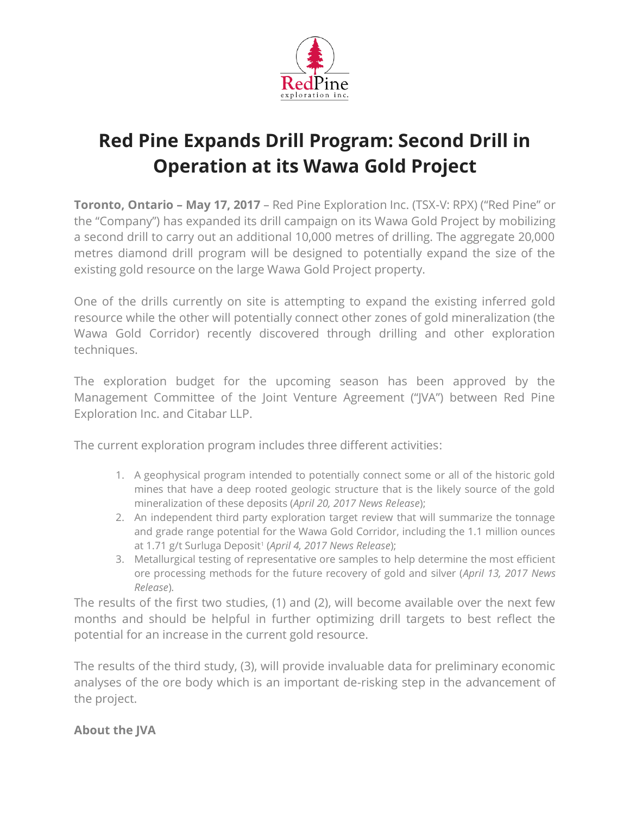

# **Red Pine Expands Drill Program: Second Drill in Operation at its Wawa Gold Project**

**Toronto, Ontario – May 17, 2017** – Red Pine Exploration Inc. (TSX-V: RPX) ("Red Pine" or the "Company") has expanded its drill campaign on its Wawa Gold Project by mobilizing a second drill to carry out an additional 10,000 metres of drilling. The aggregate 20,000 metres diamond drill program will be designed to potentially expand the size of the existing gold resource on the large Wawa Gold Project property.

One of the drills currently on site is attempting to expand the existing inferred gold resource while the other will potentially connect other zones of gold mineralization (the Wawa Gold Corridor) recently discovered through drilling and other exploration techniques.

The exploration budget for the upcoming season has been approved by the Management Committee of the Joint Venture Agreement ("JVA") between Red Pine Exploration Inc. and Citabar LLP.

The current exploration program includes three different activities:

- 1. A geophysical program intended to potentially connect some or all of the historic gold mines that have a deep rooted geologic structure that is the likely source of the gold mineralization of these deposits (*April 20, 2017 News Release*);
- 2. An independent third party exploration target review that will summarize the tonnage and grade range potential for the Wawa Gold Corridor, including the 1.1 million ounces at 1.71 g/t Surluga Deposit<sup>1</sup> (*April 4, 2017 News Release*);
- 3. Metallurgical testing of representative ore samples to help determine the most efficient ore processing methods for the future recovery of gold and silver (*April 13, 2017 News Release*).

The results of the first two studies, (1) and (2), will become available over the next few months and should be helpful in further optimizing drill targets to best reflect the potential for an increase in the current gold resource.

The results of the third study, (3), will provide invaluable data for preliminary economic analyses of the ore body which is an important de-risking step in the advancement of the project.

# **About the JVA**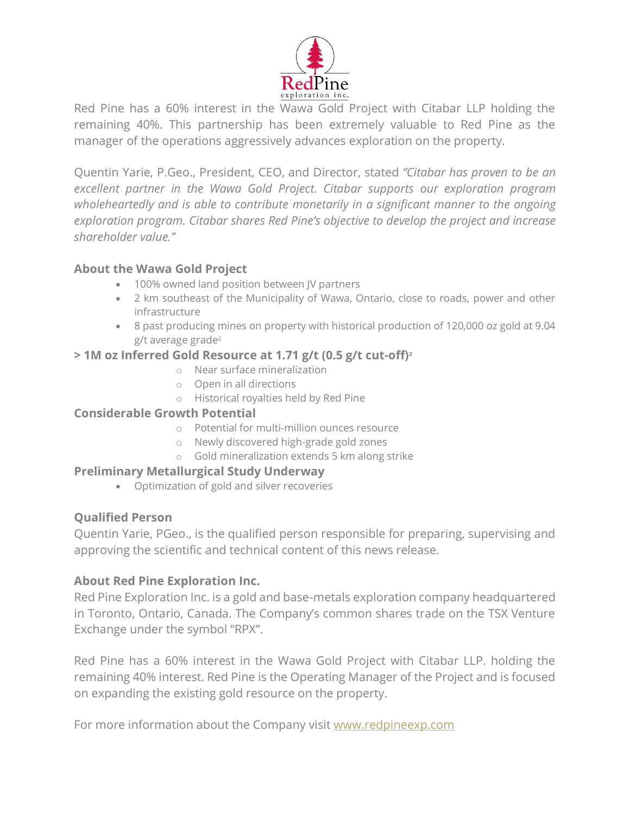

Red Pine has a 60% interest in the Wawa Gold Project with Citabar LLP holding the remaining 40%. This partnership has been extremely valuable to Red Pine as the manager of the operations aggressively advances exploration on the property.

Quentin Yarie, P.Geo., President, CEO, and Director, stated *"Citabar has proven to be an excellent partner in the Wawa Gold Project. Citabar supports our exploration program wholeheartedly and is able to contribute monetarily in a significant manner to the ongoing exploration program. Citabar shares Red Pine's objective to develop the project and increase shareholder value."*

### **About the Wawa Gold Project**

- 100% owned land position between JV partners
- 2 km southeast of the Municipality of Wawa, Ontario, close to roads, power and other infrastructure
- 8 past producing mines on property with historical production of 120,000 oz gold at 9.04 g/t average grade<sup>2</sup>

### **> 1M oz Inferred Gold Resource at 1.71 g/t (0.5 g/t cut-off)<sup>2</sup>**

- o Near surface mineralization
- o Open in all directions
- o Historical royalties held by Red Pine

# **Considerable Growth Potential**

- o Potential for multi-million ounces resource
- o Newly discovered high-grade gold zones
- o Gold mineralization extends 5 km along strike

# **Preliminary Metallurgical Study Underway**

• Optimization of gold and silver recoveries

# **Qualified Person**

Quentin Yarie, PGeo., is the qualified person responsible for preparing, supervising and approving the scientific and technical content of this news release.

# **About Red Pine Exploration Inc.**

Red Pine Exploration Inc. is a gold and base-metals exploration company headquartered in Toronto, Ontario, Canada. The Company's common shares trade on the TSX Venture Exchange under the symbol "RPX".

Red Pine has a 60% interest in the Wawa Gold Project with Citabar LLP. holding the remaining 40% interest. Red Pine is the Operating Manager of the Project and is focused on expanding the existing gold resource on the property.

For more information about the Company visit [www.redpineexp.com](http://www.redpineexp.com/)